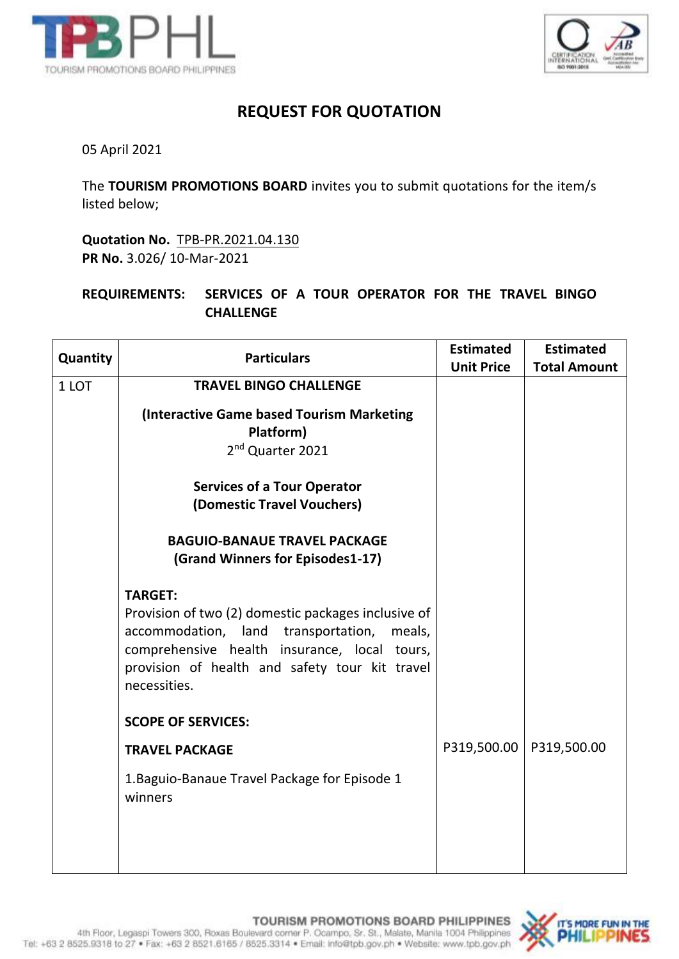



## **REQUEST FOR QUOTATION**

05 April 2021

The **TOURISM PROMOTIONS BOARD** invites you to submit quotations for the item/s listed below;

**Quotation No.** TPB-PR.2021.04.130 **PR No.** 3.026/ 10-Mar-2021

**REQUIREMENTS: SERVICES OF A TOUR OPERATOR FOR THE TRAVEL BINGO CHALLENGE**

| Quantity | <b>Particulars</b>                                                                                                                                                                                                                       | <b>Estimated</b><br><b>Unit Price</b> | <b>Estimated</b><br><b>Total Amount</b> |
|----------|------------------------------------------------------------------------------------------------------------------------------------------------------------------------------------------------------------------------------------------|---------------------------------------|-----------------------------------------|
| 1 LOT    | <b>TRAVEL BINGO CHALLENGE</b>                                                                                                                                                                                                            |                                       |                                         |
|          | <b>(Interactive Game based Tourism Marketing</b><br>Platform)<br>2 <sup>nd</sup> Quarter 2021                                                                                                                                            |                                       |                                         |
|          | <b>Services of a Tour Operator</b><br>(Domestic Travel Vouchers)                                                                                                                                                                         |                                       |                                         |
|          | <b>BAGUIO-BANAUE TRAVEL PACKAGE</b><br>(Grand Winners for Episodes1-17)                                                                                                                                                                  |                                       |                                         |
|          | <b>TARGET:</b><br>Provision of two (2) domestic packages inclusive of<br>accommodation, land transportation,<br>meals,<br>comprehensive health insurance, local tours,<br>provision of health and safety tour kit travel<br>necessities. |                                       |                                         |
|          | <b>SCOPE OF SERVICES:</b>                                                                                                                                                                                                                |                                       |                                         |
|          | <b>TRAVEL PACKAGE</b>                                                                                                                                                                                                                    | P319,500.00                           | P319,500.00                             |
|          | 1. Baguio-Banaue Travel Package for Episode 1<br>winners                                                                                                                                                                                 |                                       |                                         |
|          |                                                                                                                                                                                                                                          |                                       |                                         |

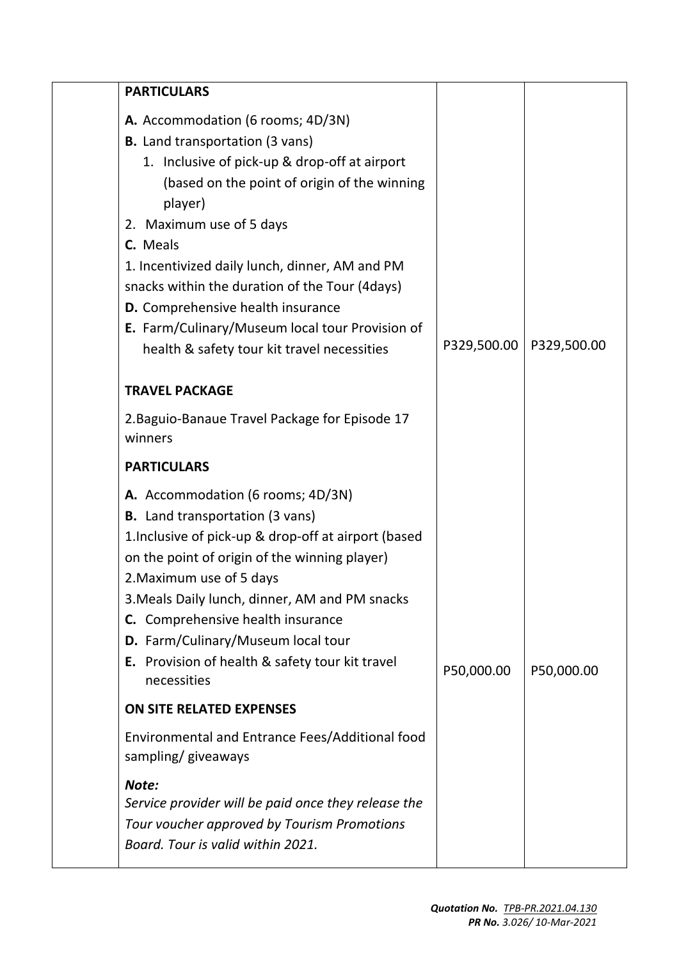| <b>PARTICULARS</b>                                                                                                                                                                                                                                                                                                                                                                                                                                                         |             |             |
|----------------------------------------------------------------------------------------------------------------------------------------------------------------------------------------------------------------------------------------------------------------------------------------------------------------------------------------------------------------------------------------------------------------------------------------------------------------------------|-------------|-------------|
| A. Accommodation (6 rooms; 4D/3N)<br><b>B.</b> Land transportation (3 vans)<br>1. Inclusive of pick-up & drop-off at airport<br>(based on the point of origin of the winning<br>player)<br>2. Maximum use of 5 days<br>C. Meals<br>1. Incentivized daily lunch, dinner, AM and PM<br>snacks within the duration of the Tour (4days)<br>D. Comprehensive health insurance<br>E. Farm/Culinary/Museum local tour Provision of<br>health & safety tour kit travel necessities | P329,500.00 | P329,500.00 |
| <b>TRAVEL PACKAGE</b>                                                                                                                                                                                                                                                                                                                                                                                                                                                      |             |             |
| 2. Baguio-Banaue Travel Package for Episode 17<br>winners                                                                                                                                                                                                                                                                                                                                                                                                                  |             |             |
| <b>PARTICULARS</b>                                                                                                                                                                                                                                                                                                                                                                                                                                                         |             |             |
| A. Accommodation (6 rooms; 4D/3N)<br><b>B.</b> Land transportation (3 vans)<br>1. Inclusive of pick-up & drop-off at airport (based<br>on the point of origin of the winning player)<br>2. Maximum use of 5 days<br>3. Meals Daily lunch, dinner, AM and PM snacks<br>C. Comprehensive health insurance<br>D. Farm/Culinary/Museum local tour<br>E. Provision of health & safety tour kit travel<br>necessities                                                            | P50,000.00  | P50,000.00  |
| <b>ON SITE RELATED EXPENSES</b>                                                                                                                                                                                                                                                                                                                                                                                                                                            |             |             |
| Environmental and Entrance Fees/Additional food<br>sampling/giveaways                                                                                                                                                                                                                                                                                                                                                                                                      |             |             |
| Note:<br>Service provider will be paid once they release the<br>Tour voucher approved by Tourism Promotions<br>Board. Tour is valid within 2021.                                                                                                                                                                                                                                                                                                                           |             |             |